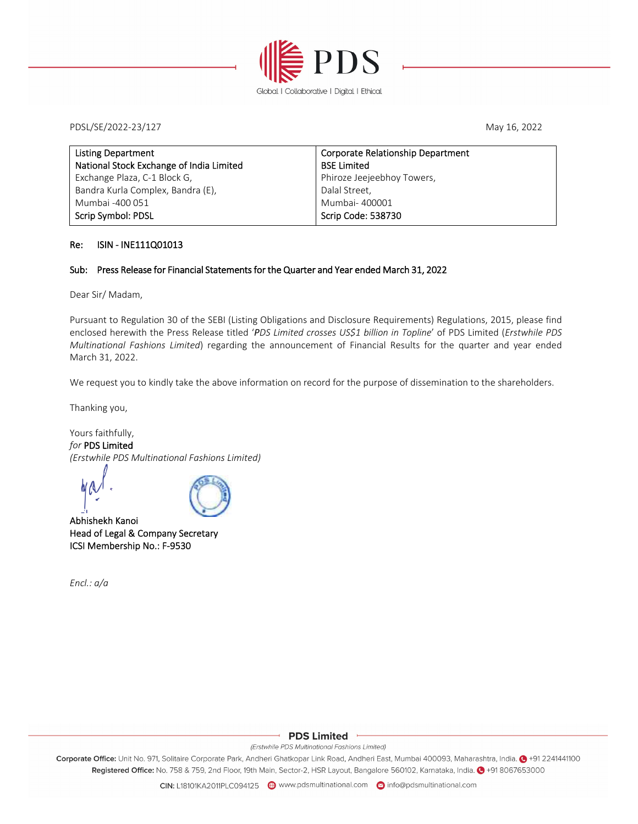

PDSL/SE/2022‐23/127 May 16, 2022

| <b>Listing Department</b>                | <b>Corporate Relationship Department</b> |
|------------------------------------------|------------------------------------------|
| National Stock Exchange of India Limited | <b>BSE Limited</b>                       |
| Exchange Plaza, C-1 Block G,             | Phiroze Jeejeebhoy Towers,               |
| Bandra Kurla Complex, Bandra (E),        | Dalal Street,                            |
| Mumbai -400 051                          | Mumbai- 400001                           |
| Scrip Symbol: PDSL                       | Scrip Code: 538730                       |

#### Re: ISIN ‐ INE111Q01013

#### Sub: Press Release for Financial Statements for the Quarter and Year ended March 31, 2022

Dear Sir/ Madam,

Pursuant to Regulation 30 of the SEBI (Listing Obligations and Disclosure Requirements) Regulations, 2015, please find enclosed herewith the Press Release titled '*PDS Limited crosses US\$1 billion in Topline*' of PDS Limited (*Erstwhile PDS Multinational Fashions Limited*) regarding the announcement of Financial Results for the quarter and year ended March 31, 2022.

We request you to kindly take the above information on record for the purpose of dissemination to the shareholders.

Thanking you,

Yours faithfully, *for* PDS Limited *(Erstwhile PDS Multinational Fashions Limited)*

de (Alexandre)<br>Abhishekh Kanoi



Head of Legal & Company Secretary ICSI Membership No.: F‐9530

*Encl.: a/a*

#### **PDS Limited**

#### (Erstwhile PDS Multinational Fashions Limited)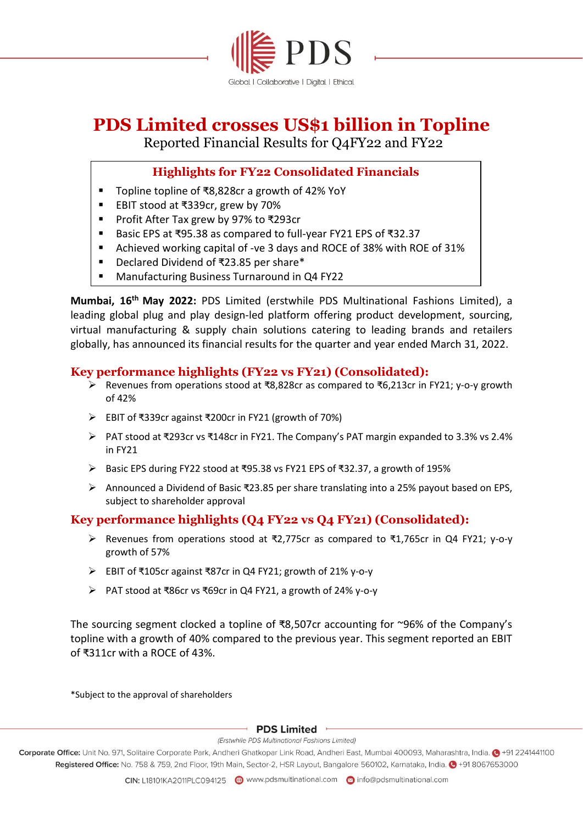

# **PDS Limited crosses US\$1 billion in Topline**

Reported Financial Results for Q4FY22 and FY22

# **Highlights for FY22 Consolidated Financials**

- Topline topline of ₹8,828cr a growth of 42% YoY
- EBIT stood at ₹339cr, grew by 70%
- Profit After Tax grew by 97% to ₹293cr
- Basic EPS at ₹95.38 as compared to full-year FY21 EPS of ₹32.37
- Achieved working capital of -ve 3 days and ROCE of 38% with ROE of 31%
- Declared Dividend of ₹23.85 per share\*
- Manufacturing Business Turnaround in Q4 FY22

**Mumbai, 16th May 2022:** PDS Limited (erstwhile PDS Multinational Fashions Limited), a leading global plug and play design-led platform offering product development, sourcing, virtual manufacturing & supply chain solutions catering to leading brands and retailers globally, has announced its financial results for the quarter and year ended March 31, 2022.

# **Key performance highlights (FY22 vs FY21) (Consolidated):**

- ➢ Revenues from operations stood at ₹8,828cr as compared to ₹6,213cr in FY21; y-o-y growth of 42%
- ➢ EBIT of ₹339cr against ₹200cr in FY21 (growth of 70%)
- ➢ PAT stood at ₹293cr vs ₹148cr in FY21. The Company's PAT margin expanded to 3.3% vs 2.4% in FY21
- ➢ Basic EPS during FY22 stood at ₹95.38 vs FY21 EPS of ₹32.37, a growth of 195%
- ➢ Announced a Dividend of Basic ₹23.85 per share translating into a 25% payout based on EPS, subject to shareholder approval

# **Key performance highlights (Q4 FY22 vs Q4 FY21) (Consolidated):**

- ➢ Revenues from operations stood at ₹2,775cr as compared to ₹1,765cr in Q4 FY21; y-o-y growth of 57%
- ➢ EBIT of ₹105cr against ₹87cr in Q4 FY21; growth of 21% y-o-y
- ➢ PAT stood at ₹86cr vs ₹69cr in Q4 FY21, a growth of 24% y-o-y

The sourcing segment clocked a topline of ₹8,507cr accounting for ~96% of the Company's topline with a growth of 40% compared to the previous year. This segment reported an EBIT of ₹311cr with a ROCE of 43%.

\*Subject to the approval of shareholders

### · PDS Limited ·

(Erstwhile PDS Multinational Fashions Limited)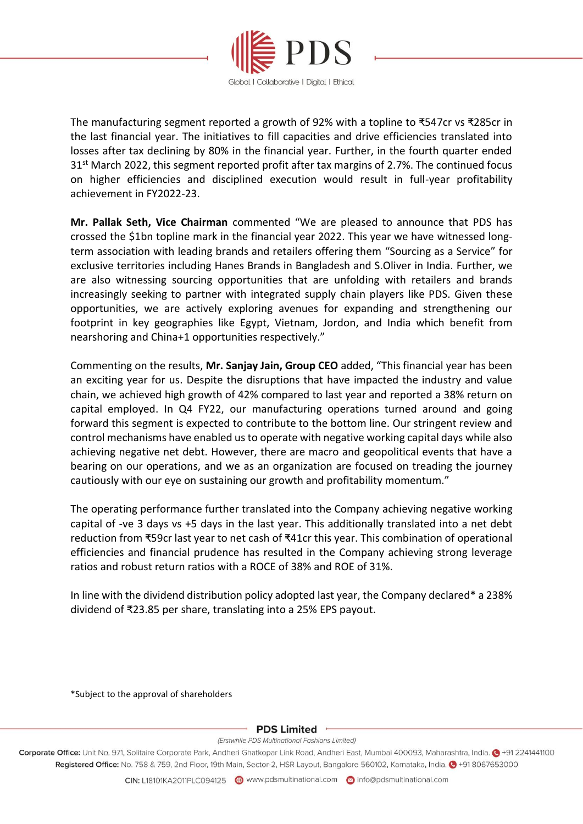

The manufacturing segment reported a growth of 92% with a topline to ₹547cr vs ₹285cr in the last financial year. The initiatives to fill capacities and drive efficiencies translated into losses after tax declining by 80% in the financial year. Further, in the fourth quarter ended 31<sup>st</sup> March 2022, this segment reported profit after tax margins of 2.7%. The continued focus on higher efficiencies and disciplined execution would result in full-year profitability achievement in FY2022-23.

**Mr. Pallak Seth, Vice Chairman** commented "We are pleased to announce that PDS has crossed the \$1bn topline mark in the financial year 2022. This year we have witnessed longterm association with leading brands and retailers offering them "Sourcing as a Service" for exclusive territories including Hanes Brands in Bangladesh and S.Oliver in India. Further, we are also witnessing sourcing opportunities that are unfolding with retailers and brands increasingly seeking to partner with integrated supply chain players like PDS. Given these opportunities, we are actively exploring avenues for expanding and strengthening our footprint in key geographies like Egypt, Vietnam, Jordon, and India which benefit from nearshoring and China+1 opportunities respectively."

Commenting on the results, **Mr. Sanjay Jain, Group CEO** added, "This financial year has been an exciting year for us. Despite the disruptions that have impacted the industry and value chain, we achieved high growth of 42% compared to last year and reported a 38% return on capital employed. In Q4 FY22, our manufacturing operations turned around and going forward this segment is expected to contribute to the bottom line. Our stringent review and control mechanisms have enabled us to operate with negative working capital days while also achieving negative net debt. However, there are macro and geopolitical events that have a bearing on our operations, and we as an organization are focused on treading the journey cautiously with our eye on sustaining our growth and profitability momentum."

The operating performance further translated into the Company achieving negative working capital of -ve 3 days vs +5 days in the last year. This additionally translated into a net debt reduction from ₹59cr last year to net cash of ₹41cr this year. This combination of operational efficiencies and financial prudence has resulted in the Company achieving strong leverage ratios and robust return ratios with a ROCE of 38% and ROE of 31%.

In line with the dividend distribution policy adopted last year, the Company declared\* a 238% dividend of ₹23.85 per share, translating into a 25% EPS payout.

\*Subject to the approval of shareholders

#### PDS Limited -

(Erstwhile PDS Multinational Fashions Limited)